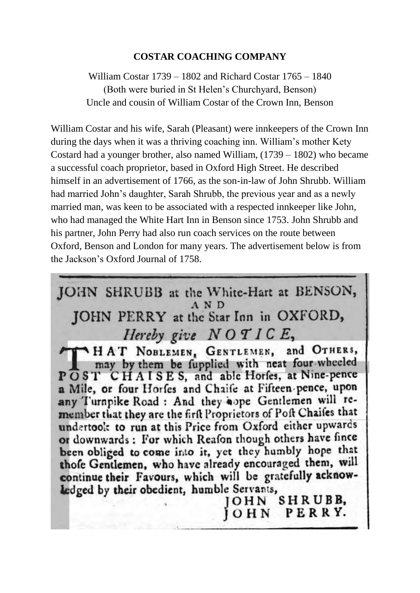### **COSTAR COACHING COMPANY**

William Costar 1739 – 1802 and Richard Costar 1765 – 1840 (Both were buried in St Helen's Churchyard, Benson) Uncle and cousin of William Costar of the Crown Inn, Benson

William Costar and his wife, Sarah (Pleasant) were innkeepers of the Crown Inn during the days when it was a thriving coaching inn. William's mother Kety Costard had a younger brother, also named William, (1739 – 1802) who became a successful coach proprietor, based in Oxford High Street. He described himself in an advertisement of 1766, as the son-in-law of John Shrubb. William had married John's daughter, Sarah Shrubb, the previous year and as a newly married man, was keen to be associated with a respected innkeeper like John, who had managed the White Hart Inn in Benson since 1753. John Shrubb and his partner, John Perry had also run coach services on the route between Oxford, Benson and London for many years. The advertisement below is from the Jackson's Oxford Journal of 1758.

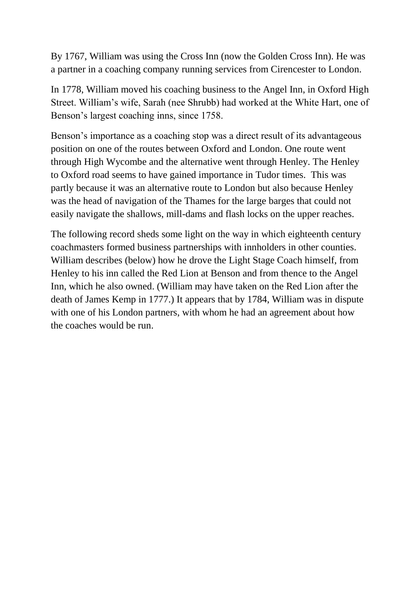By 1767, William was using the Cross Inn (now the Golden Cross Inn). He was a partner in a coaching company running services from Cirencester to London.

In 1778, William moved his coaching business to the Angel Inn, in Oxford High Street. William's wife, Sarah (nee Shrubb) had worked at the White Hart, one of Benson's largest coaching inns, since 1758.

Benson's importance as a coaching stop was a direct result of its advantageous position on one of the routes between Oxford and London. One route went through High Wycombe and the alternative went through Henley. The Henley to Oxford road seems to have gained importance in Tudor times. This was partly because it was an alternative route to London but also because Henley was the head of navigation of the Thames for the large barges that could not easily navigate the shallows, mill-dams and flash locks on the upper reaches.

The following record sheds some light on the way in which eighteenth century coachmasters formed business partnerships with innholders in other counties. William describes (below) how he drove the Light Stage Coach himself, from Henley to his inn called the Red Lion at Benson and from thence to the Angel Inn, which he also owned. (William may have taken on the Red Lion after the death of James Kemp in 1777.) It appears that by 1784, William was in dispute with one of his London partners, with whom he had an agreement about how the coaches would be run.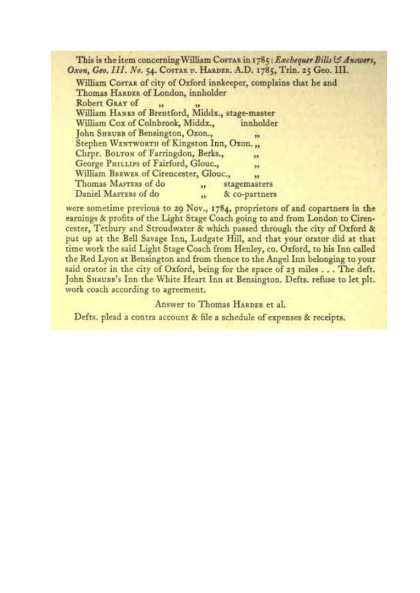This is the item concerning William Costan in 1785: Exchequer Bills & Answers, Oxon, Geo. III. No. 54. COSTAR v. HARDER. A.D. 1785, Trin. 25 Geo. III.

William Costak of city of Oxford innkeeper, complains that he and Thomas HARDER of London, innholder Robert GRAY of 55 William HANKS of Brentford, Middx., stage-master William Cox of Colnbrook, Middx., innholder John SHRUBB of Bensington, Oxon., Stephen WENTWORTH of Kingston Inn, Oxon... Chrpr. BOLTON of Farringdon, Berks., m George PHILLIPS of Fairford, Glouc., ü William BREWER of Cirencester, Glouc., y3 Thomas MASTERS of do stagemasters  $\overline{\phantom{a}}$ Daniel MASTERS of do & co-partners  $\ddot{\phantom{a}}$ 

were sometime previous to 29 Nov., 1784, proprietors of and copartners in the earnings & profits of the Light Stage Coach going to and from London to Cirencester, Tetbury and Stroudwater & which passed through the city of Oxford & put up at the Bell Savage Inn, Ludgate Hill, and that your orator did at that time work the said Light Stage Coach from Henley, co. Oxford, to his Inn called the Red Lyon at Bensington and from thence to the Angel Inn belonging to your said orator in the city of Oxford, being for the space of 23 miles . . . The deft. John SHRUBB's Inn the White Heart Inn at Bensington. Defts. refuse to let plt. work coach according to agreement.

Answer to Thomas HARDER et al.

Defts, plead a contra account & file a schedule of expenses & receipts.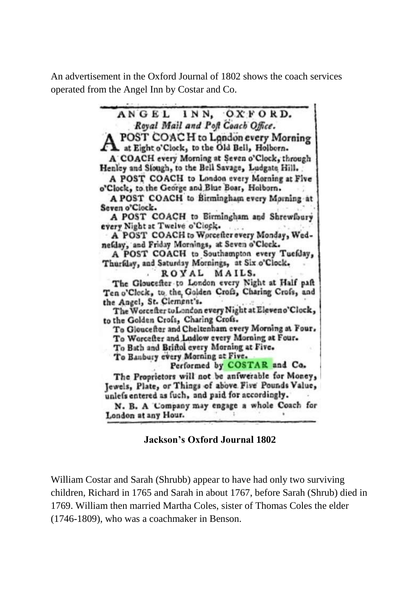An advertisement in the Oxford Journal of 1802 shows the coach services operated from the Angel Inn by Costar and Co.

> ANGEL INN. OXFORD. Royal Mail and Poft Coach Office. POST COACH to London every Morning at Eight o'Clock, to the Old Bell, Holborn. A COACH every Morning at Seven o'Clock, through Henley and Slough, to the Bell Savage, Ludgate Hill. A POST COACH to London every Morning at Five o'Clock, to the George and Blue Boar, Holborn. A POST COACH to Birmingham every Morning at Seven o'Clock. A POST COACH to Birmingham and Shrewfbury every Night at Twelve o'Ciock. A POST COACH to Worcefter every Monday, Wednefday, and Friday Mornings, at Seven o'Clock. A POST COACH to Southampton every Tuefday, Thurfday, and Saturday Mornings, at Six o'Clock. ROYAL MAILS. The Gloucefter to London every Night at Half paft Ten o'Clock, to the Golden Crofs, Charing Crofs, and the Angel, St. Clement's. The Worcefter to London every Night at Eleveno'Clock, to the Golden Crofs, Charing Crofs. To Gloucefter and Cheltenham every Morning at Four. To Worcefter and Ludlow every Morning at Four. To Bath and Briftol every Morning at Five. To Banbury every Morning at Five. Performed by COSTAR and Co. The Proprietors will not be aniwerable for Money, Jewels, Plate, or Things of above Five Pounds Value, unlefs entered as fuch, and paid for accordingly. N. B. A 'Company may engage a whole Coach for London at any Hour.

> > **Jackson's Oxford Journal 1802**

William Costar and Sarah (Shrubb) appear to have had only two surviving children, Richard in 1765 and Sarah in about 1767, before Sarah (Shrub) died in 1769. William then married Martha Coles, sister of Thomas Coles the elder (1746-1809), who was a coachmaker in Benson.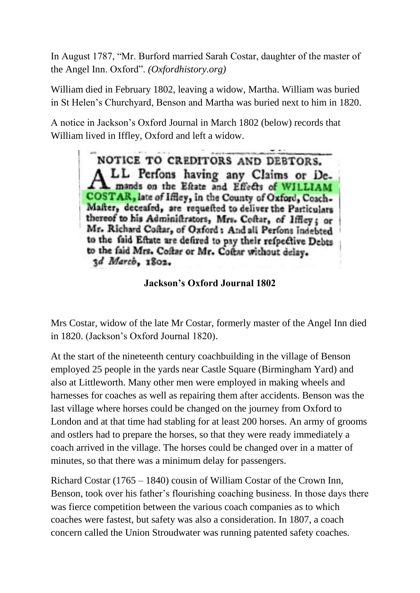In August 1787, "Mr. Burford married Sarah Costar, daughter of the master of the Angel Inn. Oxford". *(Oxfordhistory.org)*

William died in February 1802, leaving a widow, Martha. William was buried in St Helen's Churchyard, Benson and Martha was buried next to him in 1820.

A notice in Jackson's Oxford Journal in March 1802 (below) records that William lived in Iffley, Oxford and left a widow.

> NOTICE TO CREDITORS AND DEBTORS. LL Perfons having any Claims or Demands on the Eftate and Effects of WILLIAM COSTAR, late of Iffley, in the County of Oxford, Coach-Mafter, deceafed, are requested to deliver the Particulars thereof to his Administrators, Mrs. Coftar, of Iffley; or Mr. Richard Coftar, of Oxford: And all Perfons indebted to the faid Eftate are defired to pay their refpective Debts to the faid Mrs. Coftar or Mr. Coftar without delay. 3d March, 1802.

**Jackson's Oxford Journal 1802**

Mrs Costar, widow of the late Mr Costar, formerly master of the Angel Inn died in 1820. (Jackson's Oxford Journal 1820).

At the start of the nineteenth century coachbuilding in the village of Benson employed 25 people in the yards near Castle Square (Birmingham Yard) and also at Littleworth. Many other men were employed in making wheels and harnesses for coaches as well as repairing them after accidents. Benson was the last village where horses could be changed on the journey from Oxford to London and at that time had stabling for at least 200 horses. An army of grooms and ostlers had to prepare the horses, so that they were ready immediately a coach arrived in the village. The horses could be changed over in a matter of minutes, so that there was a minimum delay for passengers.

Richard Costar (1765 – 1840) cousin of William Costar of the Crown Inn, Benson, took over his father's flourishing coaching business. In those days there was fierce competition between the various coach companies as to which coaches were fastest, but safety was also a consideration. In 1807, a coach concern called the Union Stroudwater was running patented safety coaches.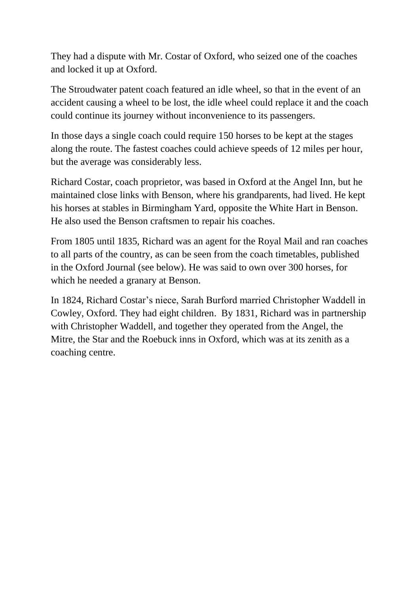They had a dispute with Mr. Costar of Oxford, who seized one of the coaches and locked it up at Oxford.

The Stroudwater patent coach featured an idle wheel, so that in the event of an accident causing a wheel to be lost, the idle wheel could replace it and the coach could continue its journey without inconvenience to its passengers.

In those days a single coach could require 150 horses to be kept at the stages along the route. The fastest coaches could achieve speeds of 12 miles per hour, but the average was considerably less.

Richard Costar, coach proprietor, was based in Oxford at the Angel Inn, but he maintained close links with Benson, where his grandparents, had lived. He kept his horses at stables in Birmingham Yard, opposite the White Hart in Benson. He also used the Benson craftsmen to repair his coaches.

From 1805 until 1835, Richard was an agent for the Royal Mail and ran coaches to all parts of the country, as can be seen from the coach timetables, published in the Oxford Journal (see below). He was said to own over 300 horses, for which he needed a granary at Benson.

In 1824, Richard Costar's niece, Sarah Burford married Christopher Waddell in Cowley, Oxford. They had eight children. By 1831, Richard was in partnership with Christopher Waddell, and together they operated from the Angel, the Mitre, the Star and the Roebuck inns in Oxford, which was at its zenith as a coaching centre.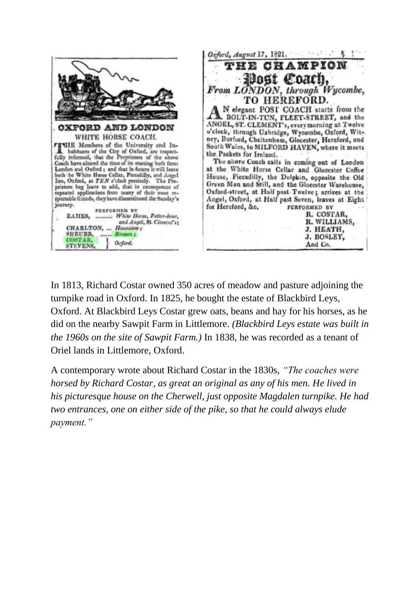

In 1813, Richard Costar owned 350 acres of meadow and pasture adjoining the turnpike road in Oxford. In 1825, he bought the estate of Blackbird Leys, Oxford. At Blackbird Leys Costar grew oats, beans and hay for his horses, as he did on the nearby Sawpit Farm in Littlemore. *(Blackbird Leys estate was built in the 1960s on the site of Sawpit Farm.)* In 1838, he was recorded as a tenant of Oriel lands in Littlemore, Oxford.

A contemporary wrote about Richard Costar in the 1830s, *"The coaches were horsed by Richard Costar, as great an original as any of his men. He lived in his picturesque house on the Cherwell, just opposite Magdalen turnpike. He had two entrances, one on either side of the pike, so that he could always elude payment."*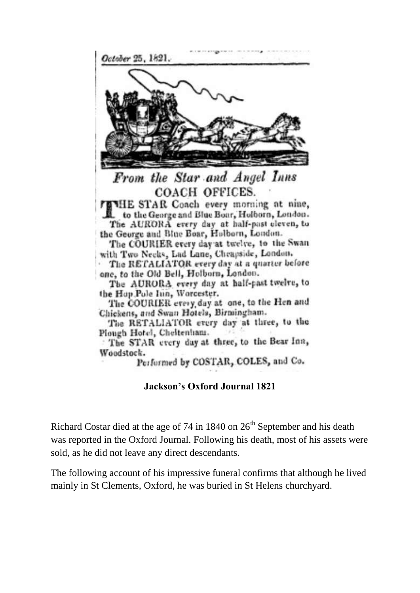

Performed by COSTAR, COLES, and Co.

### **Jackson's Oxford Journal 1821**

Richard Costar died at the age of 74 in 1840 on  $26<sup>th</sup>$  September and his death was reported in the Oxford Journal. Following his death, most of his assets were sold, as he did not leave any direct descendants.

The following account of his impressive funeral confirms that although he lived mainly in St Clements, Oxford, he was buried in St Helens churchyard.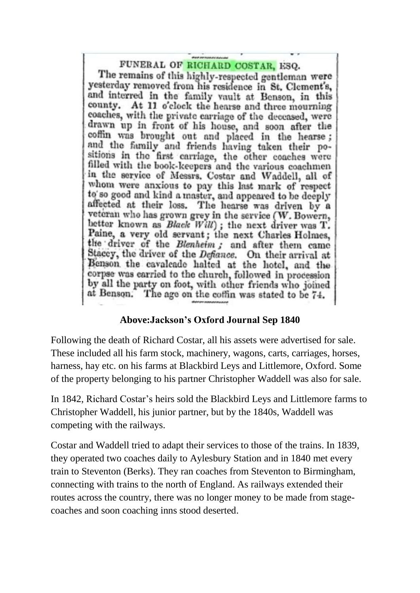# FUNERAL OF RICHARD COSTAR, ESQ.

The remains of this highly-respected gentleman were yesterday removed from his residence in St. Clement's, and interred in the family vault at Benson, in this county. At 11 o'clock the hearse and three mourning coaches, with the private carriage of the deceased, were drawn up in front of his house, and soon after the coffin was brought out and placed in the hearse; and the family and friends having taken their positions in the first carriage, the other coaches were filled with the book-keepers and the various coachmen in the service of Messrs. Costar and Waddell, all of whom were anxious to pay this last mark of respect to so good and kind a master, and appeared to be deeply affected at their loss. The hearse was driven by a veteran who has grown grey in the service (W. Bowern, better known as Black Will); the next driver was T.<br>Paine, a very old servant; the next Charles Holmes, the driver of the Blenheim; and after them came Stacey, the driver of the Defiance. On their arrival at Benson the cavalcade halted at the hotel, and the corpse was carried to the church, followed in procession by all the party on foot, with other friends who joined at Benson. The age on the coffin was stated to be 74.

## **Above:Jackson's Oxford Journal Sep 1840**

Following the death of Richard Costar, all his assets were advertised for sale. These included all his farm stock, machinery, wagons, carts, carriages, horses, harness, hay etc. on his farms at Blackbird Leys and Littlemore, Oxford. Some of the property belonging to his partner Christopher Waddell was also for sale.

In 1842, Richard Costar's heirs sold the Blackbird Leys and Littlemore farms to Christopher Waddell, his junior partner, but by the 1840s, Waddell was competing with the railways.

Costar and Waddell tried to adapt their services to those of the trains. In 1839, they operated two coaches daily to Aylesbury Station and in 1840 met every train to Steventon (Berks). They ran coaches from Steventon to Birmingham, connecting with trains to the north of England. As railways extended their routes across the country, there was no longer money to be made from stagecoaches and soon coaching inns stood deserted.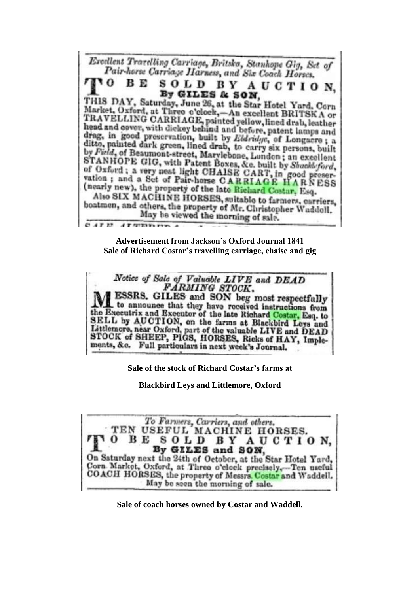

**Advertisement from Jackson's Oxford Journal 1841 Sale of Richard Costar's travelling carriage, chaise and gig**



**Sale of the stock of Richard Costar's farms at** 

**Blackbird Leys and Littlemore, Oxford**

To Farmers, Carriers, and others. TEN USEFUL MACHINE HORSES. вЕ SOLD BY AUCTION. By GILES and SON, On Saturday next the 24th of October, at the Star Hotel Yard, Corn Market, Oxford, at Three o'clock precisely,-Ten useful COACH HORSES, the property of Messrs. Costar and Waddell. May be seen the morning of sale.

**Sale of coach horses owned by Costar and Waddell.**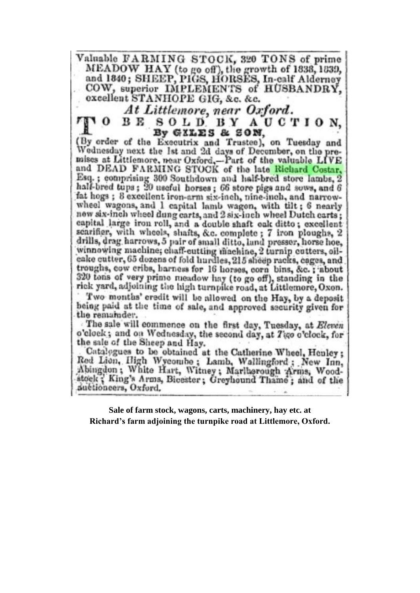Valuable FARMING STOCK, 320 TONS of prime MEADOW HAY (to go off), the growth of 1838, 1839, and 1840; SHEEP, PIGS, HORSES, In-calf Alderney COW, superior IMPLEMENTS of HUSBANDRY. excellent STANHOPE GIG, &c. &c. At Littlemore, near Oxford. BE SOLD BY AUCTION. By GILES & SON, (By order of the Executrix and Trustee), on Tuesday and

Wednesday next the 1st and 2d days of December, on the premises at Littlemore, near Oxford,-Part of the valuable LIVE<br>and DEAD FARMING STOCK of the late Richard Costar, Esq.; comprising 300 Southdown and half-bred store lambs, 2 half-bred tups; 20 useful horses; 66 store pigs and sows, and 6 fat hogs; 8 excellent iron-arm six-inch, nine-inch, and narrowwheel wagons, and I capital lamb wagon, with tilt; 6 nearly new six-inch wheel dung carts, and 2 six-inch wheel Dutch carts; capital large iron roll, and a double shaft oak ditto; excellent scarifier, with wheels, shafts, &c. complete; 7 iron ploughs, 2 drills, drag harrows, 5 pair of small ditto, land presser, horse hoe, winnowing machine; chaff-cutting machine, 2 turnip cutters, oilcake cutter, 65 dozens of fold hurdles, 215 sheep racks, cages, and troughs, cow cribs, harness for 16 horses, corn bins, &c.; about 320 tons of very prime meadow hay (to go off), standing in the rick yard, adjoining the high turnpike road, at Littlemore, Oxon.

Two months' credit will be allowed on the Hay, by a deposit being paid at the time of sale, and approved security given for the remainder.

The sale will commence on the first day, Tuesday, at Eleven o'clock; and on Wednesday, the second day, at Tigo o'clock, for the sale of the Sheep and Hay.

Catalogues to be obtained at the Catherine Wheel, Henley: Red Lion, High Wycombe; Lamb, Wallingford; New Inn, Abingdon; White Hart, Witney; Marlborough Arms, Woodstock; King's Arms, Bicester; Greyhound Thame; and of the auctioneers, Oxford.

Sale of farm stock, wagons, carts, machinery, hay etc. at Richard's farm adjoining the turnpike road at Littlemore, Oxford.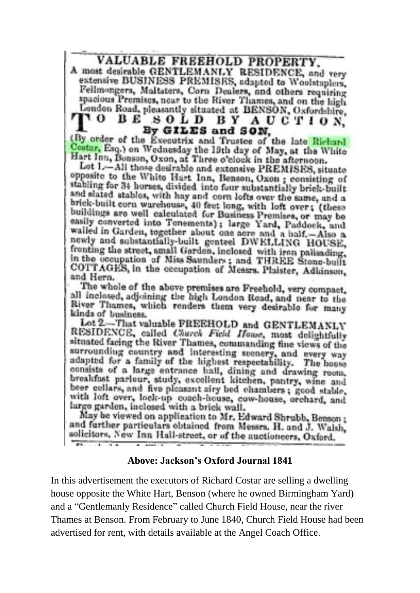VALUABLE FREEHOLD PROPERTY.

A most desirable GENTLEMANLY RESIDENCE, and very extensive BUSINESS PREMISES, adapted to Woolstaplers, Fellmongers, Maltsters, Corn Dealers, and others requiring spacious Premises, near to the River Thames, and on the high London Road, pleasantly situated at BENSON, Oxfordshire, SOLD BY AUCTION. 11 O BE By GILES and SON.

(By order of the Executrix and Trustee of the late Richard Coatar, Esq.) on Wednesday the 19th day of May, at the White Hart Inn, Benson, Oxon, at Three o'clock in the afternoon.

Lot 1.-All those desirable and extensive PREMISES, situate opposite to the White Hart Inn, Benson, Oxon; consisting of stabling for 34 horses, divided into four substantially brick-built and slated stables, with hay and corn lofts over the same, and a brick-built corn warehouse, 40 feet long, with loft over; (these buildings are well calculated for Business Premises, or may be easily converted into Tenements); large Yard, Paddock, and wailed in Garden, together about one acre and a half.-Also a newly and substantially-built genteel DWELLING HOUSE, fronting the street, small Garden, inclosed with iron palisading, in the occupation of Miss Saunders; and THREE Stone-built COTTAGES, in the occupation of Messrs. Plaister, Adkinson, and Hern.

The whole of the above premises are Freehold, very compact, all inclosed, adjoining the high London Road, and near to the River Thames, which renders them very desirable for many kinds of business.

Let 2.-That valuable FREEHOLD and GENTLEMANLY RESIDENCE, called Church Field House, most delightfully situated facing the River Thames, commanding fine views of the surrounding country and interesting scenery, and every way adapted for a family of the highest respectability. The house consists of a large entrance hall, dining and drawing room. breakfast parlour, study, excellent kitchen, pantry, wine and beer cellars, and five pleasant airy bed chambers; good stable, with loft over, lock-up conch-house, cow-house, orchard, and large garden, inclosed with a brick wall.

May be viewed on application to Mr. Edward Shrubb, Benson; and further particulars obtained from Messrs. H. and J. Walsh, solicitors, New Inn Hall-street, or of the auctioneers, Oxford, ÷

### **Above: Jackson's Oxford Journal 1841**

In this advertisement the executors of Richard Costar are selling a dwelling house opposite the White Hart, Benson (where he owned Birmingham Yard) and a "Gentlemanly Residence" called Church Field House, near the river Thames at Benson. From February to June 1840, Church Field House had been advertised for rent, with details available at the Angel Coach Office.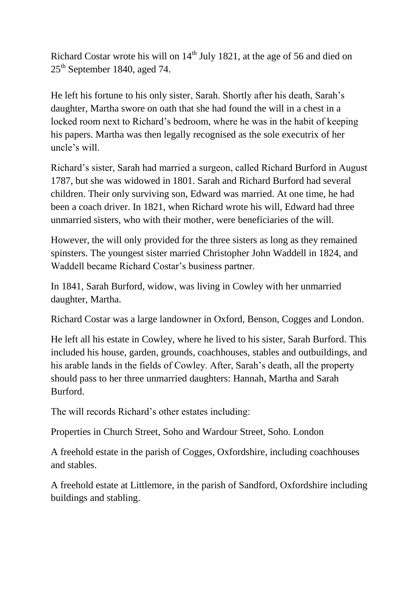Richard Costar wrote his will on  $14<sup>th</sup>$  July 1821, at the age of 56 and died on 25<sup>th</sup> September 1840, aged 74.

He left his fortune to his only sister, Sarah. Shortly after his death, Sarah's daughter, Martha swore on oath that she had found the will in a chest in a locked room next to Richard's bedroom, where he was in the habit of keeping his papers. Martha was then legally recognised as the sole executrix of her uncle's will.

Richard's sister, Sarah had married a surgeon, called Richard Burford in August 1787, but she was widowed in 1801. Sarah and Richard Burford had several children. Their only surviving son, Edward was married. At one time, he had been a coach driver. In 1821, when Richard wrote his will, Edward had three unmarried sisters, who with their mother, were beneficiaries of the will.

However, the will only provided for the three sisters as long as they remained spinsters. The youngest sister married Christopher John Waddell in 1824, and Waddell became Richard Costar's business partner.

In 1841, Sarah Burford, widow, was living in Cowley with her unmarried daughter, Martha.

Richard Costar was a large landowner in Oxford, Benson, Cogges and London.

He left all his estate in Cowley, where he lived to his sister, Sarah Burford. This included his house, garden, grounds, coachhouses, stables and outbuildings, and his arable lands in the fields of Cowley. After, Sarah's death, all the property should pass to her three unmarried daughters: Hannah, Martha and Sarah Burford.

The will records Richard's other estates including:

Properties in Church Street, Soho and Wardour Street, Soho. London

A freehold estate in the parish of Cogges, Oxfordshire, including coachhouses and stables.

A freehold estate at Littlemore, in the parish of Sandford, Oxfordshire including buildings and stabling.